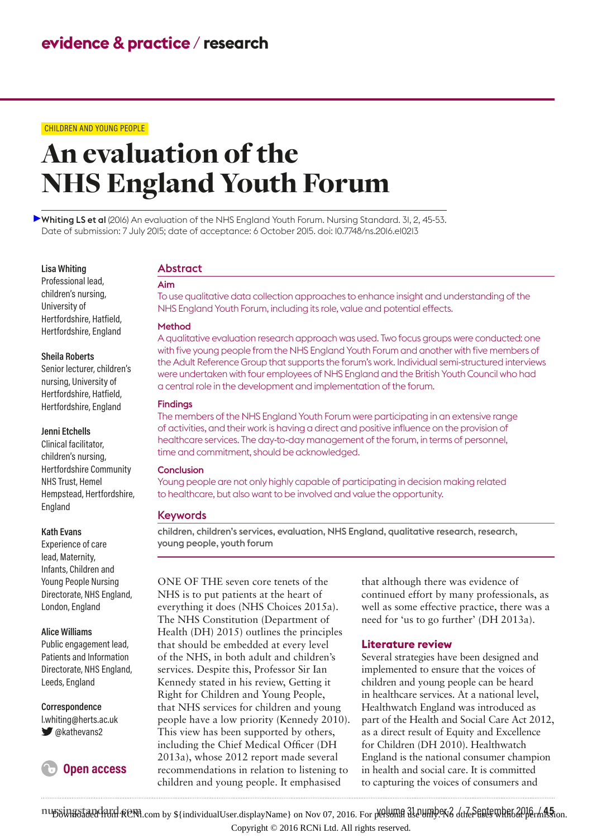#### CHILDREN AND YOUNG PEOPLE

## An evaluation of the NHS England Youth Forum

Whiting LS et al (2016) An evaluation of the NHS England Youth Forum. Nursing Standard. 31, 2, 45-53. Date of submission: 7 July 2015; date of acceptance: 6 October 2015. doi: 10.7748/ns.2016.e10213

**Lisa Whiting**

Professional lead, children's nursing, University of Hertfordshire, Hatfield, Hertfordshire, England

#### **Sheila Roberts**

Senior lecturer, children's nursing, University of Hertfordshire, Hatfield, Hertfordshire, England

#### **Jenni Etchells**

Clinical facilitator, children's nursing, Hertfordshire Community NHS Trust, Hemel Hempstead, Hertfordshire, England

#### **Kath Evans**

Experience of care lead, Maternity, Infants, Children and Young People Nursing Directorate, NHS England, London, England

#### **Alice Williams**

Public engagement lead, Patients and Information Directorate, NHS England, Leeds, England

#### **Correspondence**

l.whiting@herts.ac.uk **W** @kathevans2



#### Abstract

#### Aim

To use qualitative data collection approaches to enhance insight and understanding of the NHS England Youth Forum, including its role, value and potential effects.

#### Method

A qualitative evaluation research approach was used. Two focus groups were conducted: one with five young people from the NHS England Youth Forum and another with five members of the Adult Reference Group that supports the forum's work. Individual semi-structured interviews were undertaken with four employees of NHS England and the British Youth Council who had a central role in the development and implementation of the forum.

#### Findings

The members of the NHS England Youth Forum were participating in an extensive range of activities, and their work is having a direct and positive influence on the provision of healthcare services. The day-to-day management of the forum, in terms of personnel, time and commitment, should be acknowledged.

#### Conclusion

Young people are not only highly capable of participating in decision making related to healthcare, but also want to be involved and value the opportunity.

#### Keywords

children, children's services, evaluation, NHS England, qualitative research, research, young people, youth forum

ONE OF THE seven core tenets of the NHS is to put patients at the heart of everything it does (NHS Choices 2015a). The NHS Constitution (Department of Health (DH) 2015) outlines the principles that should be embedded at every level of the NHS, in both adult and children's services. Despite this, Professor Sir Ian Kennedy stated in his review, Getting it Right for Children and Young People, that NHS services for children and young people have a low priority (Kennedy 2010). This view has been supported by others, including the Chief Medical Officer (DH 2013a), whose 2012 report made several recommendations in relation to listening to children and young people. It emphasised

that although there was evidence of continued effort by many professionals, as well as some effective practice, there was a need for 'us to go further' (DH 2013a).

#### **Literature review**

Several strategies have been designed and implemented to ensure that the voices of children and young people can be heard in healthcare services. At a national level, Healthwatch England was introduced as part of the Health and Social Care Act 2012, as a direct result of Equity and Excellence for Children (DH 2010). Healthwatch England is the national consumer champion in health and social care. It is committed to capturing the voices of consumers and

nu<del>psingstandard RCN</del>I.com by \${individualUser.displayName} on Nov 07, 2016. For personal 31 pumpeK3 dthe September 2016, A5 on. Copyright © 2016 RCNi Ltd. All rights reserved.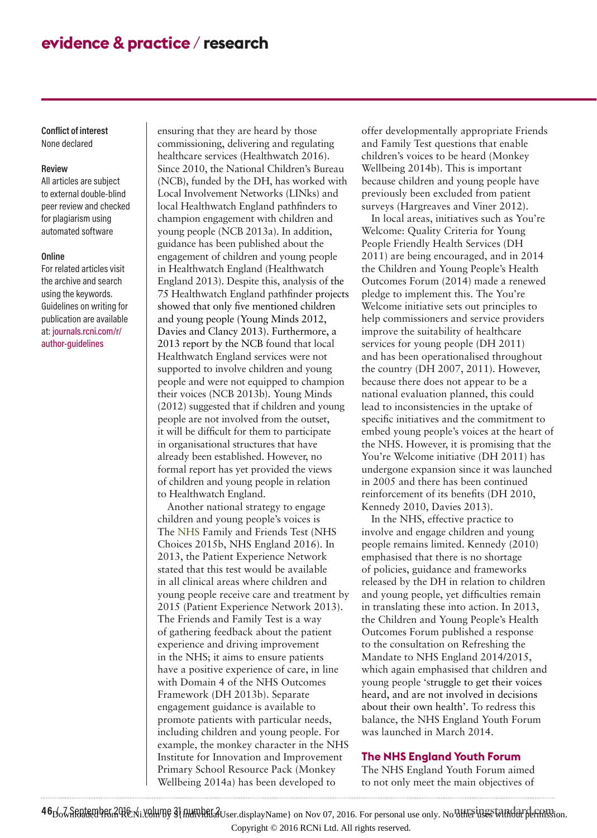**Conflict of interest** None declared

#### **Review**

All articles are subject to external double-blind peer review and checked for plagiarism using automated software

#### **Online**

For related articles visit the archive and search using the keywords. Guidelines on writing for publication are available at: journals.rcni.com/r/ author-guidelines

ensuring that they are heard by those commissioning, delivering and regulating healthcare services (Healthwatch 2016). Since 2010, the National Children's Bureau (NCB), funded by the DH, has worked with Local Involvement Networks (LINks) and local Healthwatch England pathfinders to champion engagement with children and young people (NCB 2013a). In addition, guidance has been published about the engagement of children and young people in Healthwatch England (Healthwatch England 2013). Despite this, analysis of the 75 Healthwatch England pathfinder projects showed that only five mentioned children and young people (Young Minds 2012, Davies and Clancy 2013). Furthermore, a 2013 report by the NCB found that local Healthwatch England services were not supported to involve children and young people and were not equipped to champion their voices (NCB 2013b). Young Minds (2012) suggested that if children and young people are not involved from the outset, it will be difficult for them to participate in organisational structures that have already been established. However, no formal report has yet provided the views of children and young people in relation to Healthwatch England.

Another national strategy to engage children and young people's voices is The NHS Family and Friends Test (NHS Choices 2015b, NHS England 2016). In 2013, the Patient Experience Network stated that this test would be available in all clinical areas where children and young people receive care and treatment by 2015 (Patient Experience Network 2013). The Friends and Family Test is a way of gathering feedback about the patient experience and driving improvement in the NHS; it aims to ensure patients have a positive experience of care, in line with Domain 4 of the NHS Outcomes Framework (DH 2013b). Separate engagement guidance is available to promote patients with particular needs, including children and young people. For example, the monkey character in the NHS Institute for Innovation and Improvement Primary School Resource Pack (Monkey Wellbeing 2014a) has been developed to

offer developmentally appropriate Friends and Family Test questions that enable children's voices to be heard (Monkey Wellbeing 2014b). This is important because children and young people have previously been excluded from patient surveys (Hargreaves and Viner 2012).

In local areas, initiatives such as You're Welcome: Quality Criteria for Young People Friendly Health Services (DH 2011) are being encouraged, and in 2014 the Children and Young People's Health Outcomes Forum (2014) made a renewed pledge to implement this. The You're Welcome initiative sets out principles to help commissioners and service providers improve the suitability of healthcare services for young people (DH 2011) and has been operationalised throughout the country (DH 2007, 2011). However, because there does not appear to be a national evaluation planned, this could lead to inconsistencies in the uptake of specific initiatives and the commitment to embed young people's voices at the heart of the NHS. However, it is promising that the You're Welcome initiative (DH 2011) has undergone expansion since it was launched in 2005 and there has been continued reinforcement of its benefits (DH 2010, Kennedy 2010, Davies 2013).

In the NHS, effective practice to involve and engage children and young people remains limited. Kennedy (2010) emphasised that there is no shortage of policies, guidance and frameworks released by the DH in relation to children and young people, yet difficulties remain in translating these into action. In 2013, the Children and Young People's Health Outcomes Forum published a response to the consultation on Refreshing the Mandate to NHS England 2014/2015, which again emphasised that children and young people 'struggle to get their voices heard, and are not involved in decisions about their own health'. To redress this balance, the NHS England Youth Forum was launched in March 2014.

#### **The NHS England Youth Forum**

The NHS England Youth Forum aimed to not only meet the main objectives of

**46** boch RENICE of *Redigment* Comparison. The September 2016 of Denis and Comparison. The September 2016 of the Rendission. Copyright © 2016 RCNi Ltd. All rights reserved.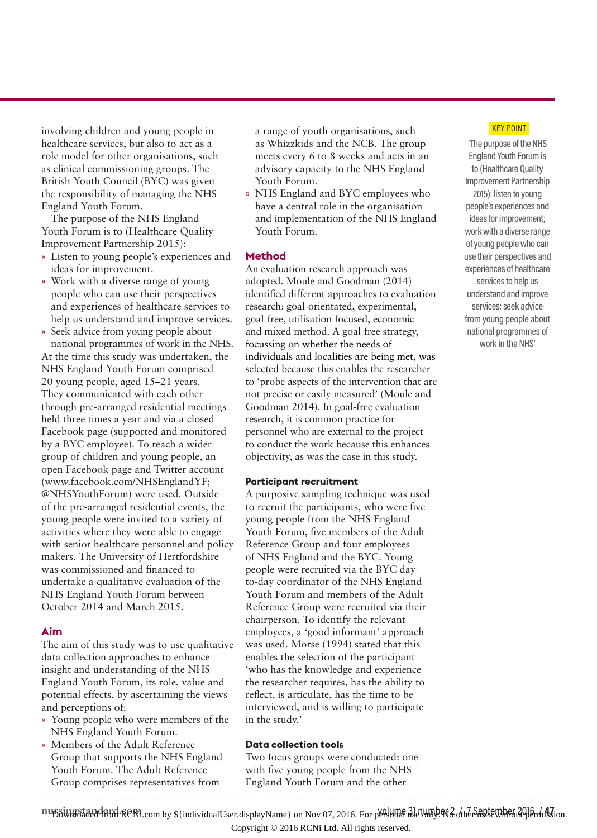involving children and young people in healthcare services, but also to act as a role model for other organisations, such as clinical commissioning groups. The British Youth Council (BYC) was given the responsibility of managing the NHS England Youth Forum.

The purpose of the NHS England Youth Forum is to (Healthcare Quality Improvement Partnership 2015):

- » Listen to young people's experiences and ideas for improvement.
- » Work with a diverse range of young people who can use their perspectives and experiences of healthcare services to help us understand and improve services.

» Seek advice from young people about national programmes of work in the NHS. At the time this study was undertaken, the NHS England Youth Forum comprised 20 young people, aged 15–21 years. They communicated with each other through pre-arranged residential meetings held three times a year and via a closed Facebook page (supported and monitored by a BYC employee). To reach a wider group of children and young people, an open Facebook page and Twitter account (www.facebook.com/NHSEnglandYF; @NHSYouthForum) were used. Outside of the pre-arranged residential events, the young people were invited to a variety of activities where they were able to engage with senior healthcare personnel and policy makers. The University of Hertfordshire was commissioned and financed to undertake a qualitative evaluation of the NHS England Youth Forum between October 2014 and March 2015.

#### **Aim**

The aim of this study was to use qualitative data collection approaches to enhance insight and understanding of the NHS England Youth Forum, its role, value and potential effects, by ascertaining the views and perceptions of:

- » Young people who were members of the NHS England Youth Forum.
- » Members of the Adult Reference Group that supports the NHS England Youth Forum. The Adult Reference Group comprises representatives from

a range of youth organisations, such as Whizzkids and the NCB. The group meets every 6 to 8 weeks and acts in an advisory capacity to the NHS England Youth Forum.

» NHS England and BYC employees who have a central role in the organisation and implementation of the NHS England Youth Forum.

#### **Method**

An evaluation research approach was adopted. Moule and Goodman (2014) identified different approaches to evaluation research: goal-orientated, experimental, goal-free, utilisation focused, economic and mixed method. A goal-free strategy, focussing on whether the needs of individuals and localities are being met, was selected because this enables the researcher to 'probe aspects of the intervention that are not precise or easily measured' (Moule and Goodman 2014). In goal-free evaluation research, it is common practice for personnel who are external to the project to conduct the work because this enhances objectivity, as was the case in this study.

#### **Participant recruitment**

A purposive sampling technique was used to recruit the participants, who were five young people from the NHS England Youth Forum, five members of the Adult Reference Group and four employees of NHS England and the BYC. Young people were recruited via the BYC dayto-day coordinator of the NHS England Youth Forum and members of the Adult Reference Group were recruited via their chairperson. To identify the relevant employees, a 'good informant' approach was used. Morse (1994) stated that this enables the selection of the participant 'who has the knowledge and experience the researcher requires, has the ability to reflect, is articulate, has the time to be interviewed, and is willing to participate in the study.'

#### **Data collection tools**

Two focus groups were conducted: one with five young people from the NHS England Youth Forum and the other

#### KEY POINT

'The purpose of the NHS England Youth Forum is to (Healthcare Quality Improvement Partnership 2015): listen to young people's experiences and ideas for improvement; work with a diverse range of young people who can use their perspectives and experiences of healthcare services to help us understand and improve services; seek advice from young people about national programmes of work in the NHS'

nu<del>psingstandard RCN</del>I.com by \${individualUser.displayName} on Nov 07, 2016. For persual all ump. No othe September 2016 mission. Copyright © 2016 RCNi Ltd. All rights reserved.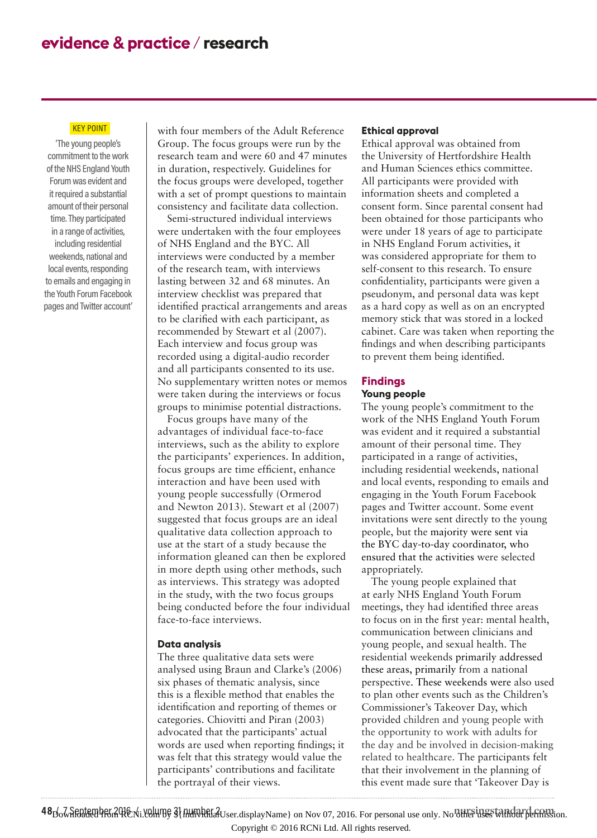#### KEY POINT

'The young people's commitment to the work of the NHS England Youth Forum was evident and it required a substantial amount of their personal time. They participated in a range of activities, including residential weekends, national and local events, responding to emails and engaging in the Youth Forum Facebook pages and Twitter account' with four members of the Adult Reference Group. The focus groups were run by the research team and were 60 and 47 minutes in duration, respectively. Guidelines for the focus groups were developed, together with a set of prompt questions to maintain consistency and facilitate data collection.

Semi-structured individual interviews were undertaken with the four employees of NHS England and the BYC. All interviews were conducted by a member of the research team, with interviews lasting between 32 and 68 minutes. An interview checklist was prepared that identified practical arrangements and areas to be clarified with each participant, as recommended by Stewart et al (2007). Each interview and focus group was recorded using a digital-audio recorder and all participants consented to its use. No supplementary written notes or memos were taken during the interviews or focus groups to minimise potential distractions.

Focus groups have many of the advantages of individual face-to-face interviews, such as the ability to explore the participants' experiences. In addition, focus groups are time efficient, enhance interaction and have been used with young people successfully (Ormerod and Newton 2013). Stewart et al (2007) suggested that focus groups are an ideal qualitative data collection approach to use at the start of a study because the information gleaned can then be explored in more depth using other methods, such as interviews. This strategy was adopted in the study, with the two focus groups being conducted before the four individual face-to-face interviews.

#### **Data analysis**

The three qualitative data sets were analysed using Braun and Clarke's (2006) six phases of thematic analysis, since this is a flexible method that enables the identification and reporting of themes or categories. Chiovitti and Piran (2003) advocated that the participants' actual words are used when reporting findings; it was felt that this strategy would value the participants' contributions and facilitate the portrayal of their views.

#### **Ethical approval**

Ethical approval was obtained from the University of Hertfordshire Health and Human Sciences ethics committee. All participants were provided with information sheets and completed a consent form. Since parental consent had been obtained for those participants who were under 18 years of age to participate in NHS England Forum activities, it was considered appropriate for them to self-consent to this research. To ensure confidentiality, participants were given a pseudonym, and personal data was kept as a hard copy as well as on an encrypted memory stick that was stored in a locked cabinet. Care was taken when reporting the findings and when describing participants to prevent them being identified*.*

#### **Findings**

#### **Young people**

The young people's commitment to the work of the NHS England Youth Forum was evident and it required a substantial amount of their personal time. They participated in a range of activities, including residential weekends, national and local events, responding to emails and engaging in the Youth Forum Facebook pages and Twitter account. Some event invitations were sent directly to the young people, but the majority were sent via the BYC day-to-day coordinator, who ensured that the activities were selected appropriately.

The young people explained that at early NHS England Youth Forum meetings, they had identified three areas to focus on in the first year: mental health, communication between clinicians and young people, and sexual health. The residential weekends primarily addressed these areas, primarily from a national perspective. These weekends were also used to plan other events such as the Children's Commissioner's Takeover Day, which provided children and young people with the opportunity to work with adults for the day and be involved in decision-making related to healthcare. The participants felt that their involvement in the planning of this event made sure that 'Takeover Day is

**48** / 7 September 2016 / volume 31 number 2 **nursingstandard.com** Downloaded from RCNi.com by \${individualUser.displayName} on Nov 07, 2016. For personal use only. No other uses without permission. Copyright © 2016 RCNi Ltd. All rights reserved.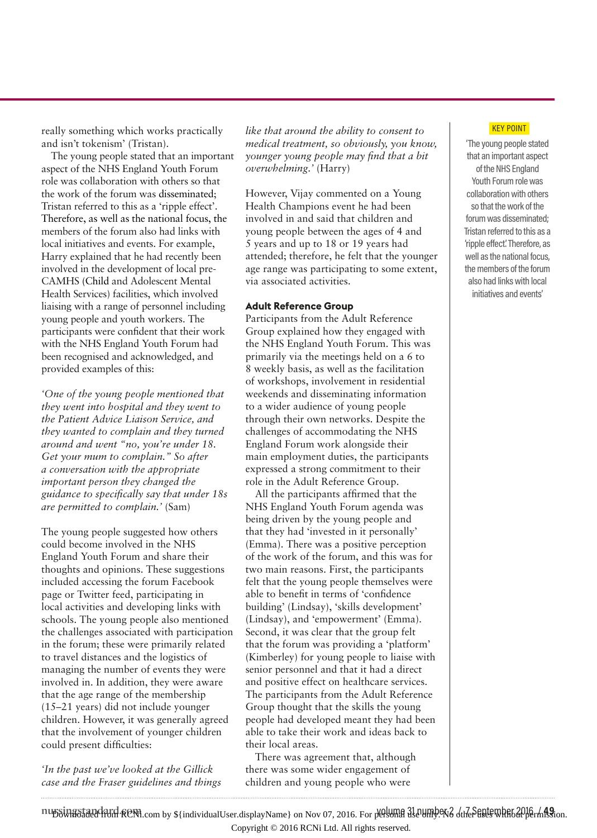really something which works practically and isn't tokenism' (Tristan).

The young people stated that an important aspect of the NHS England Youth Forum role was collaboration with others so that the work of the forum was disseminated; Tristan referred to this as a 'ripple effect'. Therefore, as well as the national focus, the members of the forum also had links with local initiatives and events. For example, Harry explained that he had recently been involved in the development of local pre-CAMHS (Child and Adolescent Mental Health Services) facilities, which involved liaising with a range of personnel including young people and youth workers. The participants were confident that their work with the NHS England Youth Forum had been recognised and acknowledged, and provided examples of this:

*'One of the young people mentioned that they went into hospital and they went to the Patient Advice Liaison Service, and they wanted to complain and they turned around and went "no, you're under 18. Get your mum to complain." So after a conversation with the appropriate important person they changed the guidance to specifically say that under 18s are permitted to complain.'* (Sam)

The young people suggested how others could become involved in the NHS England Youth Forum and share their thoughts and opinions. These suggestions included accessing the forum Facebook page or Twitter feed, participating in local activities and developing links with schools. The young people also mentioned the challenges associated with participation in the forum; these were primarily related to travel distances and the logistics of managing the number of events they were involved in. In addition, they were aware that the age range of the membership (15–21 years) did not include younger children. However, it was generally agreed that the involvement of younger children could present difficulties:

*'In the past we've looked at the Gillick case and the Fraser guidelines and things*  *like that around the ability to consent to medical treatment, so obviously, you know, younger young people may find that a bit overwhelming.'* (Harry)

However, Vijay commented on a Young Health Champions event he had been involved in and said that children and young people between the ages of 4 and 5 years and up to 18 or 19 years had attended; therefore, he felt that the younger age range was participating to some extent, via associated activities.

#### **Adult Reference Group**

Participants from the Adult Reference Group explained how they engaged with the NHS England Youth Forum. This was primarily via the meetings held on a 6 to 8 weekly basis, as well as the facilitation of workshops, involvement in residential weekends and disseminating information to a wider audience of young people through their own networks. Despite the challenges of accommodating the NHS England Forum work alongside their main employment duties, the participants expressed a strong commitment to their role in the Adult Reference Group.

All the participants affirmed that the NHS England Youth Forum agenda was being driven by the young people and that they had 'invested in it personally' (Emma). There was a positive perception of the work of the forum, and this was for two main reasons. First, the participants felt that the young people themselves were able to benefit in terms of 'confidence building' (Lindsay), 'skills development' (Lindsay), and 'empowerment' (Emma). Second, it was clear that the group felt that the forum was providing a 'platform' (Kimberley) for young people to liaise with senior personnel and that it had a direct and positive effect on healthcare services. The participants from the Adult Reference Group thought that the skills the young people had developed meant they had been able to take their work and ideas back to their local areas.

There was agreement that, although there was some wider engagement of children and young people who were

#### KEY POINT

'The young people stated that an important aspect of the NHS England Youth Forum role was collaboration with others so that the work of the forum was disseminated; Tristan referred to this as a 'ripple effect'. Therefore, as well as the national focus, the members of the forum also had links with local initiatives and events'

nu<del>psingstandard RCN</del>I.com by \${individualUser.displayName} on Nov 07, 2016. For personal 31 pumpeN6 dthe September 2016, A**9** emission. Copyright © 2016 RCNi Ltd. All rights reserved.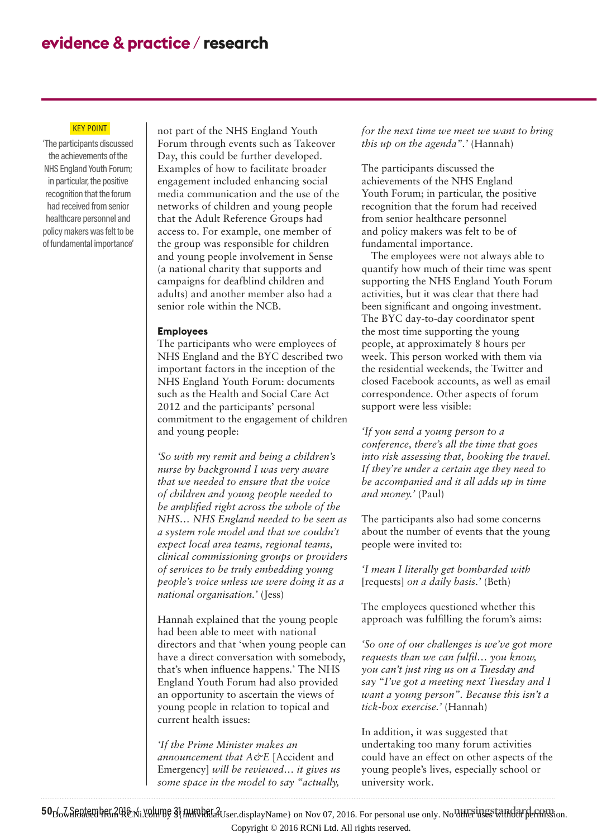#### KEY POINT

'The participants discussed the achievements of the NHS England Youth Forum; in particular, the positive recognition that the forum had received from senior healthcare personnel and policy makers was felt to be of fundamental importance'

not part of the NHS England Youth Forum through events such as Takeover Day, this could be further developed. Examples of how to facilitate broader engagement included enhancing social media communication and the use of the networks of children and young people that the Adult Reference Groups had access to. For example, one member of the group was responsible for children and young people involvement in Sense (a national charity that supports and campaigns for deafblind children and adults) and another member also had a senior role within the NCB.

#### **Employees**

The participants who were employees of NHS England and the BYC described two important factors in the inception of the NHS England Youth Forum: documents such as the Health and Social Care Act 2012 and the participants' personal commitment to the engagement of children and young people:

*'So with my remit and being a children's nurse by background I was very aware that we needed to ensure that the voice of children and young people needed to be amplified right across the whole of the NHS… NHS England needed to be seen as a system role model and that we couldn't expect local area teams, regional teams, clinical commissioning groups or providers of services to be truly embedding young people's voice unless we were doing it as a national organisation.'* (Jess)

Hannah explained that the young people had been able to meet with national directors and that 'when young people can have a direct conversation with somebody, that's when influence happens.' The NHS England Youth Forum had also provided an opportunity to ascertain the views of young people in relation to topical and current health issues:

*'If the Prime Minister makes an announcement that A&E* [Accident and Emergency] *will be reviewed… it gives us some space in the model to say "actually,* 

*for the next time we meet we want to bring this up on the agenda".'* (Hannah)

The participants discussed the achievements of the NHS England Youth Forum; in particular, the positive recognition that the forum had received from senior healthcare personnel and policy makers was felt to be of fundamental importance.

The employees were not always able to quantify how much of their time was spent supporting the NHS England Youth Forum activities, but it was clear that there had been significant and ongoing investment. The BYC day-to-day coordinator spent the most time supporting the young people, at approximately 8 hours per week. This person worked with them via the residential weekends, the Twitter and closed Facebook accounts, as well as email correspondence. Other aspects of forum support were less visible:

*'If you send a young person to a conference, there's all the time that goes into risk assessing that, booking the travel. If they're under a certain age they need to be accompanied and it all adds up in time and money.'* (Paul)

The participants also had some concerns about the number of events that the young people were invited to:

*'I mean I literally get bombarded with*  [requests] *on a daily basis.'* (Beth)

The employees questioned whether this approach was fulfilling the forum's aims:

*'So one of our challenges is we've got more requests than we can fulfil… you know, you can't just ring us on a Tuesday and say "I've got a meeting next Tuesday and I want a young person". Because this isn't a tick-box exercise.'* (Hannah)

In addition, it was suggested that undertaking too many forum activities could have an effect on other aspects of the young people's lives, especially school or university work.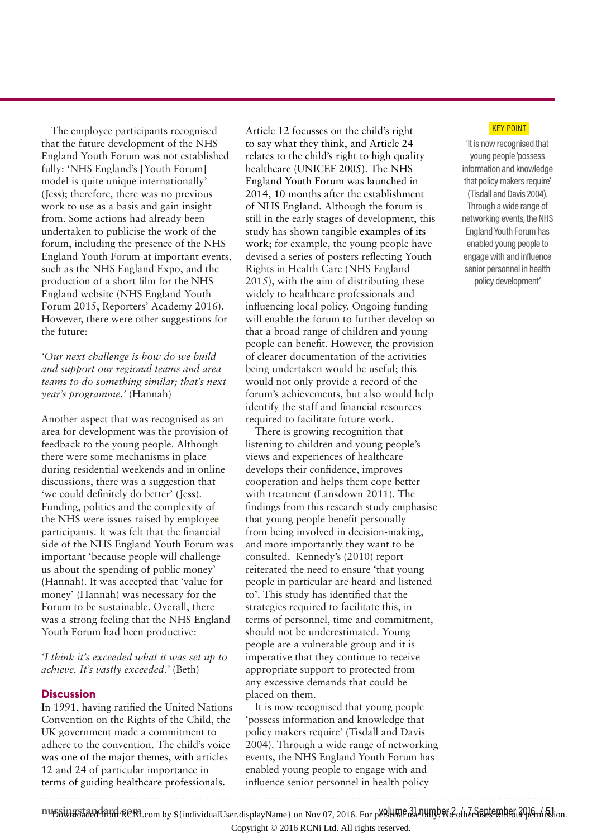The employee participants recognised that the future development of the NHS England Youth Forum was not established fully: 'NHS England's [Youth Forum] model is quite unique internationally' (Jess); therefore, there was no previous work to use as a basis and gain insight from. Some actions had already been undertaken to publicise the work of the forum, including the presence of the NHS England Youth Forum at important events, such as the NHS England Expo, and the production of a short film for the NHS England website (NHS England Youth Forum 2015, Reporters' Academy 2016). However, there were other suggestions for the future:

*'Our next challenge is how do we build and support our regional teams and area teams to do something similar; that's next year's programme.'* (Hannah)

Another aspect that was recognised as an area for development was the provision of feedback to the young people. Although there were some mechanisms in place during residential weekends and in online discussions, there was a suggestion that 'we could definitely do better' (Jess). Funding, politics and the complexity of the NHS were issues raised by employe**e** participants. It was felt that the financial side of the NHS England Youth Forum was important 'because people will challenge us about the spending of public money' (Hannah). It was accepted that 'value for money' (Hannah) was necessary for the Forum to be sustainable. Overall, there was a strong feeling that the NHS England Youth Forum had been productive:

*'I think it's exceeded what it was set up to achieve. It's vastly exceeded.'* (Beth)

#### **Discussion**

In 1991, having ratified the United Nations Convention on the Rights of the Child, the UK government made a commitment to adhere to the convention. The child's voice was one of the major themes, with articles 12 and 24 of particular importance in terms of guiding healthcare professionals.

Article 12 focusses on the child's right to say what they think, and Article 24 relates to the child's right to high quality healthcare (UNICEF 2005). The NHS England Youth Forum was launched in 2014, 10 months after the establishment of NHS England. Although the forum is still in the early stages of development, this study has shown tangible examples of its work; for example, the young people have devised a series of posters reflecting Youth Rights in Health Care (NHS England 2015), with the aim of distributing these widely to healthcare professionals and influencing local policy. Ongoing funding will enable the forum to further develop so that a broad range of children and young people can benefit. However, the provision of clearer documentation of the activities being undertaken would be useful; this would not only provide a record of the forum's achievements, but also would help identify the staff and financial resources required to facilitate future work.

There is growing recognition that listening to children and young people's views and experiences of healthcare develops their confidence, improves cooperation and helps them cope better with treatment (Lansdown 2011). The findings from this research study emphasise that young people benefit personally from being involved in decision-making, and more importantly they want to be consulted. Kennedy's (2010) report reiterated the need to ensure 'that young people in particular are heard and listened to'. This study has identified that the strategies required to facilitate this, in terms of personnel, time and commitment, should not be underestimated. Young people are a vulnerable group and it is imperative that they continue to receive appropriate support to protected from any excessive demands that could be placed on them.

It is now recognised that young people 'possess information and knowledge that policy makers require' (Tisdall and Davis 2004). Through a wide range of networking events, the NHS England Youth Forum has enabled young people to engage with and influence senior personnel in health policy

#### KEY POINT

'It is now recognised that young people 'possess information and knowledge that policy makers require' (Tisdall and Davis 2004). Through a wide range of networking events, the NHS England Youth Forum has enabled young people to engage with and influence senior personnel in health policy development'

nu<del>psingstandard RCN</del>I.com by \${individualUser.displayName} on Nov 07, 2016. For personal use buffe & che-September 406 mission. Copyright © 2016 RCNi Ltd. All rights reserved.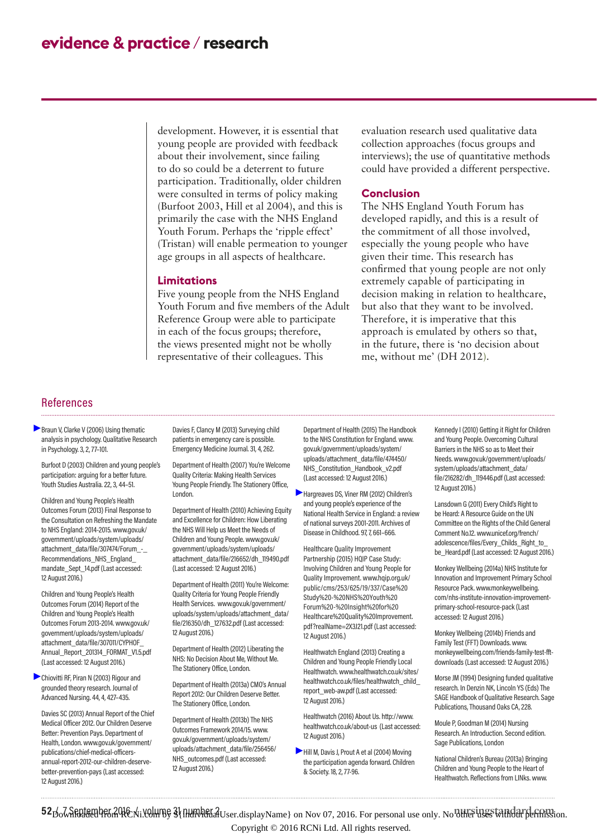development. However, it is essential that young people are provided with feedback about their involvement, since failing to do so could be a deterrent to future participation. Traditionally, older children were consulted in terms of policy making (Burfoot 2003, Hill et al 2004), and this is primarily the case with the NHS England Youth Forum. Perhaps the 'ripple effect' (Tristan) will enable permeation to younger age groups in all aspects of healthcare.

#### **Limitations**

Five young people from the NHS England Youth Forum and five members of the Adult Reference Group were able to participate in each of the focus groups; therefore, the views presented might not be wholly representative of their colleagues. This

evaluation research used qualitative data collection approaches (focus groups and interviews); the use of quantitative methods could have provided a different perspective.

#### **Conclusion**

The NHS England Youth Forum has developed rapidly, and this is a result of the commitment of all those involved, especially the young people who have given their time. This research has confirmed that young people are not only extremely capable of participating in decision making in relation to healthcare, but also that they want to be involved. Therefore, it is imperative that this approach is emulated by others so that, in the future, there is 'no decision about me, without me' (DH 2012).

#### References

Braun V, Clarke V (2006) Using thematic analysis in psychology. Qualitative Research in Psychology. 3, 2, 77–101.

Burfoot D (2003) Children and young people's participation: arguing for a better future. Youth Studies Australia. 22, 3, 44–51.

Children and Young People's Health Outcomes Forum (2013) Final Response to the Consultation on Refreshing the Mandate to NHS England: 2014-2015. www.gov.uk/ government/uploads/system/uploads/ attachment\_data/file/307474/Forum\_-\_ Recommendations\_NHS\_England mandate\_Sept\_14.pdf (Last accessed: 12 August 2016.)

Children and Young People's Health Outcomes Forum (2014) Report of the Children and Young People's Health Outcomes Forum 2013-2014. www.gov.uk/ government/uploads/system/uploads/ attachment\_data/file/307011/CYPHOF Annual\_Report\_201314\_FORMAT\_V1.5.pdf (Last accessed: 12 August 2016.)

Chiovitti RF, Piran N (2003) Rigour and grounded theory research. Journal of Advanced Nursing. 44, 4, 427–435.

Davies SC (2013) Annual Report of the Chief Medical Officer 2012. Our Children Deserve Better: Prevention Pays. Department of Health, London. www.gov.uk/government/ publications/chief-medical-officersannual-report-2012-our-children-deservebetter-prevention-pays (Last accessed: 12 August 2016.)

Davies F, Clancy M (2013) Surveying child patients in emergency care is possible. Emergency Medicine Journal. 31, 4, 262.

Department of Health (2007) You're Welcome Quality Criteria: Making Health Services Young People Friendly. The Stationery Office, London.

Department of Health (2010) Achieving Equity and Excellence for Children: How Liberating the NHS Will Help us Meet the Needs of Children and Young People. www.gov.uk/ government/uploads/system/uploads/ attachment\_data/file/216652/dh\_119490.pdf (Last accessed: 12 August 2016.)

Department of Health (2011) You're Welcome: Quality Criteria for Young People Friendly Health Services. www.gov.uk/government/ uploads/system/uploads/attachment\_data/ file/216350/dh\_127632.pdf (Last accessed: 12 August 2016.)

Department of Health (2012) Liberating the NHS: No Decision About Me, Without Me. The Stationery Office, London.

Department of Health (2013a) CMO's Annual Report 2012: Our Children Deserve Better. The Stationery Office, London.

Department of Health (2013b) The NHS Outcomes Framework 2014/15. www. gov.uk/government/uploads/system/ uploads/attachment\_data/file/256456/ NHS\_outcomes.pdf (Last accessed: 12 August 2016.)

Department of Health (2015) The Handbook to the NHS Constitution for England. www. gov.uk/government/uploads/system/ uploads/attachment\_data/file/474450/ NHS\_Constitution\_Handbook\_v2.pdf (Last accessed: 12 August 2016.)

[H](http://journals.rcni.com/action/showLinks?pmid=21931159&crossref=10.1136%2Farchdischild-2011-300603)argreaves DS, Viner RM (2012) Children's and young people's experience of the National Health Service in England: a review of national surveys 2001-2011. Archives of Disease in Childhood. 97, 7, 661–666.

Healthcare Quality Improvement Partnership (2015) HQIP Case Study: Involving Children and Young People for Quality Improvement. www.hqip.org.uk/ public/cms/253/625/19/337/Case%20 Study%20-%20NHS%20Youth%20 Forum%20-%20Insight%20for%20 Healthcare%20Quality%20Improvement. pdf?realName=2X3J21.pdf (Last accessed: 12 August 2016.)

Healthwatch England (2013) Creating a Children and Young People Friendly Local Healthwatch. www.healthwatch.co.uk/sites/ healthwatch.co.uk/files/healthwatch\_child\_ report\_web-aw.pdf (Last accessed: 12 August 2016.)

Healthwatch (2016) About Us. http://www. healthwatch.co.uk/about-us (Last accessed: 12 August 2016.)

[H](http://journals.rcni.com/action/showLinks?crossref=10.1002%2Fchi.819)ill M, Davis J, Prout A et al (2004) Moving the participation agenda forward. Children & Society. 18, 2, 77-96.

Kennedy I (2010) Getting it Right for Children and Young People. Overcoming Cultural Barriers in the NHS so as to Meet their Needs. www.gov.uk/government/uploads/ system/uploads/attachment\_data/ file/216282/dh\_119446.pdf (Last accessed: 12 August 2016.)

Lansdown G (2011) Every Child's Right to be Heard: A Resource Guide on the UN Committee on the Rights of the Child General Comment No.12. www.unicef.org/french/ adolescence/files/Every\_Childs\_Right\_to be\_Heard.pdf (Last accessed: 12 August 2016.)

Monkey Wellbeing (2014a) NHS Institute for Innovation and Improvement Primary School Resource Pack. www.monkeywellbeing. com/nhs-institute-innovation-improvementprimary-school-resource-pack (Last accessed: 12 August 2016.)

Monkey Wellbeing (2014b) Friends and Family Test (FFT) Downloads. www. monkeywellbeing.com/friends-family-test-fftdownloads (Last accessed: 12 August 2016.)

Morse JM (1994) Designing funded qualitative research. In Denzin NK, Lincoln YS (Eds) The SAGE Handbook of Qualitative Research. Sage Publications, Thousand Oaks CA, 228.

Moule P, Goodman M (2014) Nursing Research. An Introduction. Second edition. Sage Publications, London

National Children's Bureau (2013a) Bringing Children and Young People to the Heart of Healthwatch. Reflections from LINks. www.

**52** bot September 2016 Ni. Colume 31 number 2 User displayName don Nov 07, 2016. For personal use only. No other uses tandard permission. Copyright © 2016 RCNi Ltd. All rights reserved.